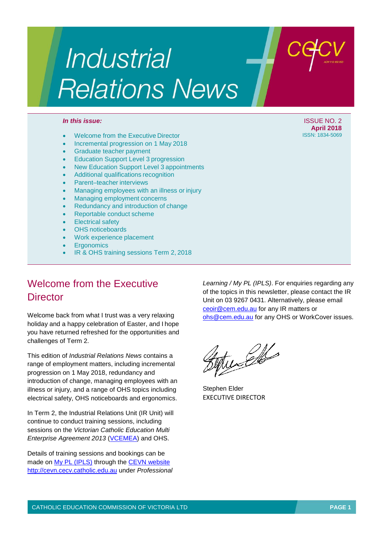# **Industrial Relations News**

- Welcome from the Executive Director
- Incremental progression on 1 May 2018
- Graduate teacher payment
- Education Support Level 3 progression
- New Education Support Level 3 appointments
- Additional qualifications recognition
- Parent–teacher interviews
- Managing employees with an illness or injury
- Managing employment concerns
- Redundancy and introduction of change
- Reportable conduct scheme
- **Electrical safety**
- OHS noticeboards
- Work experience placement
- **Ergonomics**
- IR & OHS training sessions Term 2, 2018

### Welcome from the Executive **Director**

Welcome back from what I trust was a very relaxing holiday and a happy celebration of Easter, and I hope you have returned refreshed for the opportunities and challenges of Term 2.

This edition of *Industrial Relations News* contains a range of employment matters, including incremental progression on 1 May 2018, redundancy and introduction of change, managing employees with an illness or injury, and a range of OHS topics including electrical safety, OHS noticeboards and ergonomics.

In Term 2, the Industrial Relations Unit (IR Unit) will continue to conduct training sessions, including sessions on the *Victorian Catholic Education Multi Enterprise Agreement 2013 [\(VCEMEA\)](http://www.cecv.catholic.edu.au/getmedia/e728ccbb-dac1-4822-9607-7c5cb8abdae9/VCEMEA_2013.aspx)* and OHS.

Details of training sessions and bookings can be made on [My PL \(IPLS\)](http://cevn.cecv.catholic.edu.au/ProfessionalLearning.aspx?id=7160) through the [CEVN website](http://cevn.cecv.catholic.edu.au/cevnlogin.aspx) [http://cevn.cecv.catholic.edu.au](http://cevn.cecv.catholic.edu.au/) under *Professional* *Learning / My PL (IPLS)*. For enquiries regarding any of the topics in this newsletter, please contact the IR Unit on 03 9267 0431. Alternatively, please email [ceoir@cem.edu.au](mailto:ceoir@cem.edu.au) for any IR matters or [ohs@cem.edu.au](mailto:ohs@cem.edu.au) for any OHS or WorkCover issues.

tunde

Stephen Elder EXECUTIVE DIRECTOR

*In this issue:* ISSUE NO. 2 **April 2018**<br>**ISSN: 1834-5069**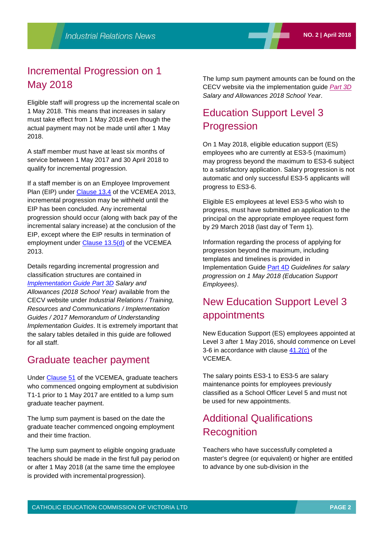### Incremental Progression on 1 May 2018

Eligible staff will progress up the incremental scale on 1 May 2018. This means that increases in salary must take effect from 1 May 2018 even though the actual payment may not be made until after 1 May 2018.

A staff member must have at least six months of service between 1 May 2017 and 30 April 2018 to qualify for incremental progression.

If a staff member is on an Employee Improvement Plan (EIP) under [Clause 13.4](http://www.cecv.catholic.edu.au/getmedia/e728ccbb-dac1-4822-9607-7c5cb8abdae9/VCEMEA_2013.aspx#page%3D21) of the VCEMEA 2013, incremental progression may be withheld until the EIP has been concluded. Any incremental progression should occur (along with back pay of the incremental salary increase) at the conclusion of the EIP, except where the EIP results in termination of employment under [Clause 13.5\(d\)](http://www.cecv.catholic.edu.au/getmedia/e728ccbb-dac1-4822-9607-7c5cb8abdae9/VCEMEA_2013.aspx#page%3D22) of the VCEMEA 2013.

Details regarding incremental progression and classification structures are contained in *[Implementation Guide Part 3D](http://www.cecv.catholic.edu.au/Media-Files/IR/Communications/Implementation-Guides/Implementation-Guide-3D-March-2018-version.aspx) Salary and Allowances (2018 School Year)* available from the CECV website under *Industrial Relations / Training, Resources and Communications / Implementation Guides / 2017 Memorandum of Understanding Implementation Guides*. It is extremely important that the salary tables detailed in this guide are followed for all staff.

### Graduate teacher payment

Under [Clause 51](http://www.cecv.catholic.edu.au/getmedia/e728ccbb-dac1-4822-9607-7c5cb8abdae9/VCEMEA_2013.aspx#page%3D47) of the VCEMEA, graduate teachers who commenced ongoing employment at subdivision T1-1 prior to 1 May 2017 are entitled to a lump sum graduate teacher payment.

The lump sum payment is based on the date the graduate teacher commenced ongoing employment and their time fraction.

The lump sum payment to eligible ongoing graduate teachers should be made in the first full pay period on or after 1 May 2018 (at the same time the employee is provided with incremental progression).

The lump sum payment amounts can be found on the CECV website via the implementation guide *[Part 3D](http://www.cecv.catholic.edu.au/Media-Files/IR/Communications/Implementation-Guides/Implementation-Guide-3D-March-2018-version.aspx) Salary and Allowances 2018 School Year*.

## Education Support Level 3 **Progression**

On 1 May 2018, eligible education support (ES) employees who are currently at ES3-5 (maximum) may progress beyond the maximum to ES3-6 subject to a satisfactory application. Salary progression is not automatic and only successful ES3-5 applicants will progress to ES3-6.

Eligible ES employees at level ES3-5 who wish to progress, must have submitted an application to the principal on the appropriate employee request form by 29 March 2018 (last day of Term 1).

Information regarding the process of applying for progression beyond the maximum, including templates and timelines is provided in Implementation Guide [Part 4D](http://www.cecv.catholic.edu.au/Media-Files/IR/Communications/Implementation-Guides/Part-4D-Implementation-Guide-for-ES-Employees-(2).aspx) *Guidelines for salary progression on 1 May 2018 (Education Support Employees)*.

## New Education Support Level 3 appointments

New Education Support (ES) employees appointed at Level 3 after 1 May 2016, should commence on Level 3-6 in accordance with clause  $41.2(c)$  of the VCEMEA.

The salary points ES3-1 to ES3-5 are salary maintenance points for employees previously classified as a School Officer Level 5 and must not be used for new appointments.

### Additional Qualifications **Recognition**

Teachers who have successfully completed a master's degree (or equivalent) or higher are entitled to advance by one sub-division in the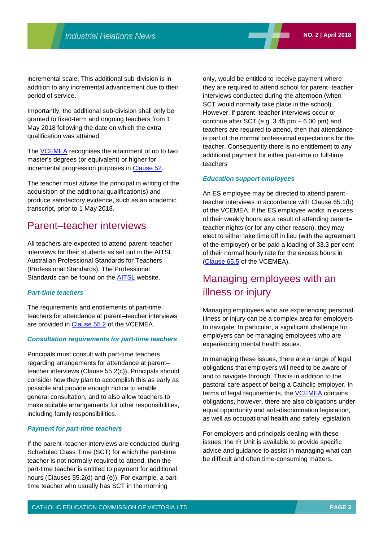incremental scale. This additional sub-division is in addition to any incremental advancement due to their period of service.

Importantly, the additional sub-division shall only be granted to fixed-term and ongoing teachers from 1 May 2018 following the date on which the extra qualification was attained.

The [VCEMEA](http://www.cecv.catholic.edu.au/getmedia/e728ccbb-dac1-4822-9607-7c5cb8abdae9/VCEMEA_2013.aspx) recognises the attainment of up to two master's degrees (or equivalent) or higher for incremental progression purposes in [Clause 52.](http://www.cecv.catholic.edu.au/getmedia/e728ccbb-dac1-4822-9607-7c5cb8abdae9/VCEMEA_2013.aspx#page%3D47)

The teacher must advise the principal in writing of the acquisition of the additional qualification(s) and produce satisfactory evidence, such as an academic transcript, prior to 1 May 2018.

### Parent–teacher interviews

All teachers are expected to attend parent–teacher interviews for their students as set out in the AITSL Australian Professional Standards for Teachers (Professional Standards). The Professional Standards can be found on the **AITSL** website.

### *Part-time teachers*

The requirements and entitlements of part-time teachers for attendance at parent–teacher interviews are provided in [Clause 55.2](http://www.cecv.catholic.edu.au/getmedia/e728ccbb-dac1-4822-9607-7c5cb8abdae9/VCEMEA_2013.aspx#page%3D49) of the VCEMEA.

#### *Consultation requirements for part-time teachers*

Principals must consult with part-time teachers regarding arrangements for attendance at parent– teacher interviews (Clause 55.2(c)). Principals should consider how they plan to accomplish this as early as possible and provide enough notice to enable general consultation, and to also allow teachers to make suitable arrangements for other responsibilities, including family responsibilities.

### *Payment for part-time teachers*

If the parent–teacher interviews are conducted during Scheduled Class Time (SCT) for which the part-time teacher is not normally required to attend, then the part-time teacher is entitled to payment for additional hours (Clauses 55.2(d) and (e)). For example, a parttime teacher who usually has SCT in the morning

only, would be entitled to receive payment where they are required to attend school for parent–teacher interviews conducted during the afternoon (when SCT would normally take place in the school). However, if parent–teacher interviews occur or continue after SCT (e.g.  $3.45$  pm  $-6.00$  pm) and teachers are required to attend, then that attendance is part of the normal professional expectations for the teacher. Consequently there is no entitlement to any additional payment for either part-time or full-time teachers

#### *Education support employees*

An ES employee may be directed to attend parent– teacher interviews in accordance with Clause 65.1(b) of the VCEMEA. If the ES employee works in excess of their weekly hours as a result of attending parent– teacher nights (or for any other reason), they may elect to either take time off in lieu (with the agreement of the employer) or be paid a loading of 33.3 per cent of their normal hourly rate for the excess hours in [\(Clause 65.5](http://www.cecv.catholic.edu.au/getmedia/e728ccbb-dac1-4822-9607-7c5cb8abdae9/VCEMEA_2013.aspx#page%3D61) of the VCEMEA).

### Managing employees with an illness or injury

Managing employees who are experiencing personal illness or injury can be a complex area for employers to navigate. In particular, a significant challenge for employers can be managing employees who are experiencing mental health issues.

In managing these issues, there are a range of legal obligations that employers will need to be aware of and to navigate through. This is in addition to the pastoral care aspect of being a Catholic employer. In terms of legal requirements, the [VCEMEA](http://www.cecv.catholic.edu.au/getmedia/e728ccbb-dac1-4822-9607-7c5cb8abdae9/VCEMEA_2013.aspx) contains obligations, however, there are also obligations under equal opportunity and anti-discrimination legislation, as well as occupational health and safety legislation.

For employers and principals dealing with these issues, the IR Unit is available to provide specific advice and guidance to assist in managing what can be difficult and often time-consuming matters.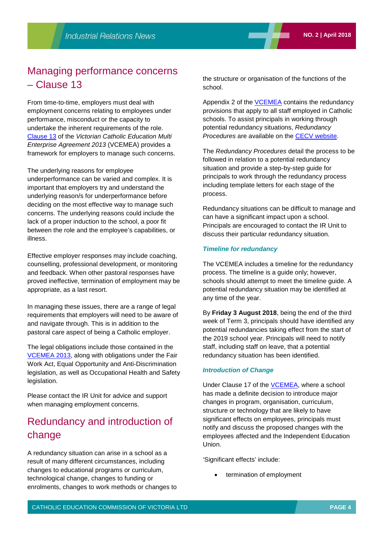### Managing performance concerns – Clause 13

From time-to-time, employers must deal with employment concerns relating to employees under performance, misconduct or the capacity to undertake the inherent requirements of the role. [Clause 13](http://www.cecv.catholic.edu.au/getmedia/e728ccbb-dac1-4822-9607-7c5cb8abdae9/VCEMEA_2013.aspx#page%3D21) of the *Victorian Catholic Education Multi Enterprise Agreement 2013* (VCEMEA) provides a framework for employers to manage such concerns.

#### The underlying reasons for employee

underperformance can be varied and complex. It is important that employers try and understand the underlying reason/s for underperformance before deciding on the most effective way to manage such concerns. The underlying reasons could include the lack of a proper induction to the school, a poor fit between the role and the employee's capabilities, or illness.

Effective employer responses may include coaching, counselling, professional development, or monitoring and feedback. When other pastoral responses have proved ineffective, termination of employment may be appropriate, as a last resort.

In managing these issues, there are a range of legal requirements that employers will need to be aware of and navigate through. This is in addition to the pastoral care aspect of being a Catholic employer.

The legal obligations include those contained in the [VCEMEA 2013,](http://www.cecv.catholic.edu.au/getmedia/e728ccbb-dac1-4822-9607-7c5cb8abdae9/VCEMEA_2013.aspx) along with obligations under the Fair Work Act, Equal Opportunity and Anti-Discrimination legislation, as well as Occupational Health and Safety legislation.

Please contact the IR Unit for advice and support when managing employment concerns.

### Redundancy and introduction of change

A redundancy situation can arise in a school as a result of many different circumstances, including changes to educational programs or curriculum, technological change, changes to funding or enrolments, changes to work methods or changes to the structure or organisation of the functions of the school.

Appendix 2 of the [VCEMEA](http://www.cecv.catholic.edu.au/getmedia/e728ccbb-dac1-4822-9607-7c5cb8abdae9/VCEMEA_2013.aspx) contains the redundancy provisions that apply to all staff employed in Catholic schools. To assist principals in working through potential redundancy situations, *Redundancy Procedures* are available on the [CECV website.](http://www.cecv.catholic.edu.au/)

The *Redundancy Procedures* detail the process to be followed in relation to a potential redundancy situation and provide a step-by-step guide for principals to work through the redundancy process including template letters for each stage of the process.

Redundancy situations can be difficult to manage and can have a significant impact upon a school. Principals are encouraged to contact the IR Unit to discuss their particular redundancy situation.

#### *Timeline for redundancy*

The VCEMEA includes a timeline for the redundancy process. The timeline is a guide only; however, schools should attempt to meet the timeline guide. A potential redundancy situation may be identified at any time of the year.

By **Friday 3 August 2018**, being the end of the third week of Term 3, principals should have identified any potential redundancies taking effect from the start of the 2019 school year. Principals will need to notify staff, including staff on leave, that a potential redundancy situation has been identified.

#### *Introduction of Change*

Under Clause 17 of the [VCEMEA, w](http://www.cecv.catholic.edu.au/getmedia/e728ccbb-dac1-4822-9607-7c5cb8abdae9/VCEMEA_2013.aspx)here a school has made a definite decision to introduce major changes in program, organisation, curriculum, structure or technology that are likely to have significant effects on employees, principals must notify and discuss the proposed changes with the employees affected and the Independent Education Union.

'Significant effects' include:

termination of employment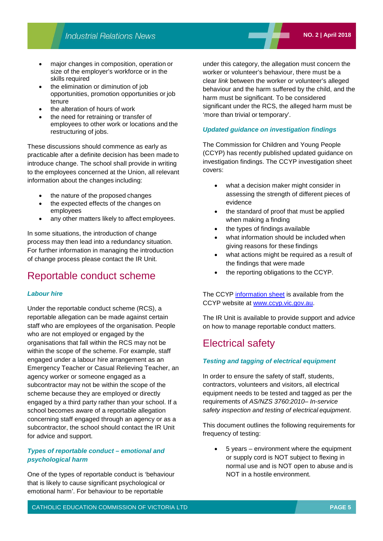- the elimination or diminution of job opportunities, promotion opportunities or job tenure
- the alteration of hours of work
- the need for retraining or transfer of employees to other work or locations and the restructuring of jobs.

These discussions should commence as early as practicable after a definite decision has been made to introduce change. The school shall provide in writing to the employees concerned at the Union, all relevant information about the changes including:

- the nature of the proposed changes
- the expected effects of the changes on employees
- any other matters likely to affect employees.

In some situations, the introduction of change process may then lead into a redundancy situation. For further information in managing the introduction of change process please contact the IR Unit.

### Reportable conduct scheme

### *Labour hire*

Under the reportable conduct scheme (RCS), a reportable allegation can be made against certain staff who are employees of the organisation. People who are not employed or engaged by the organisations that fall within the RCS may not be within the scope of the scheme. For example, staff engaged under a labour hire arrangement as an Emergency Teacher or Casual Relieving Teacher, an agency worker or someone engaged as a subcontractor may not be within the scope of the scheme because they are employed or directly engaged by a third party rather than your school. If a school becomes aware of a reportable allegation concerning staff engaged through an agency or as a subcontractor, the school should contact the IR Unit for advice and support.

### *Types of reportable conduct – emotional and psychological harm*

One of the types of reportable conduct is 'behaviour that is likely to cause significant psychological or emotional harm'. For behaviour to be reportable

under this category, the allegation must concern the worker or volunteer's behaviour, there must be a clear *link* between the worker or volunteer's alleged behaviour and the harm suffered by the child, and the harm must be significant. To be considered significant under the RCS, the alleged harm must be 'more than trivial or temporary'.

### *Updated guidance on investigation findings*

The Commission for Children and Young People (CCYP) has recently published updated guidance on investigation findings. The CCYP investigation sheet covers:

- what a decision maker might consider in assessing the strength of different pieces of evidence
- the standard of proof that must be applied when making a finding
- the types of findings available
- what information should be included when giving reasons for these findings
- what actions might be required as a result of the findings that were made
- the reporting obligations to the CCYP.

The CCYP [information sheet](https://ccyp.vic.gov.au/assets/resources/Investigation-findings.pdf) is available from the CCYP website at [www.ccyp.vic.gov.au.](http://www.ccyp.vic.gov.au/)

The IR Unit is available to provide support and advice on how to manage reportable conduct matters.

### Electrical safety

### *Testing and tagging of electrical equipment*

In order to ensure the safety of staff, students, contractors, volunteers and visitors, all electrical equipment needs to be tested and tagged as per the requirements of *AS/NZS 3760:2010– In-service safety inspection and testing of electrical equipment*.

This document outlines the following requirements for frequency of testing:

• 5 years – environment where the equipment or supply cord is NOT subject to flexing in normal use and is NOT open to abuse and is NOT in a hostile environment.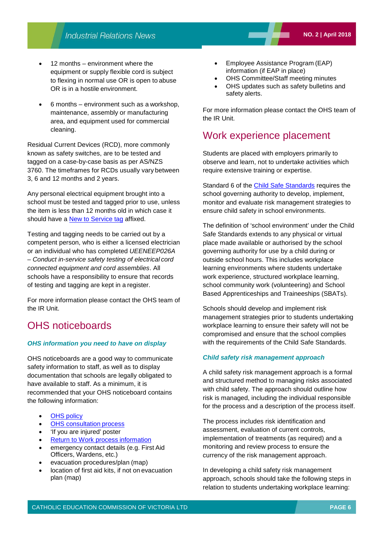- 12 months environment where the equipment or supply flexible cord is subject to flexing in normal use OR is open to abuse OR is in a hostile environment.
- 6 months environment such as a workshop, maintenance, assembly or manufacturing area, and equipment used for commercial cleaning.

Residual Current Devices (RCD), more commonly known as safety switches, are to be tested and tagged on a case-by-case basis as per AS/NZS 3760. The timeframes for RCDs usually vary between 3, 6 and 12 months and 2 years.

Any personal electrical equipment brought into a school must be tested and tagged prior to use, unless the item is less than 12 months old in which case it should have a [New to Service tag](http://www.safetysupplywarehouse.com/NOTICE_TEMPORARILY_OUT_OF_SERVICE_Tags_p/svt148.htm) affixed.

Testing and tagging needs to be carried out by a competent person, who is either a licensed electrician or an individual who has completed *UEENEEP026A – Conduct in-service safety testing of electrical cord connected equipment and cord assemblies*. All schools have a responsibility to ensure that records of testing and tagging are kept in a register.

For more information please contact the OHS team of the IR Unit.

### OHS noticeboards

### *OHS information you need to have on display*

OHS noticeboards are a good way to communicate safety information to staff, as well as to display documentation that schools are legally obligated to have available to staff. As a minimum, it is recommended that your OHS noticeboard contains the following information:

- **OHS** [policy](http://www.cecv.catholic.edu.au/OHS-WorkCover/Resources/OHS-Policy)
- **OHS** consultation process
- 'If you are injured' poster
- [Return to Work process](http://www.cecv.catholic.edu.au/OHS-WorkCover/WorkCover/Return-to-Work) information
- emergency contact details (e.g. First Aid Officers, Wardens, etc.)
- evacuation procedures/plan (map)
- location of first aid kits, if not on evacuation plan (map)
- Employee Assistance Program (EAP) information (if EAP in place)
- OHS Committee/Staff meeting minutes
- OHS updates such as safety bulletins and safety alerts.

For more information please contact the OHS team of the IR Unit.

### Work experience placement

Students are placed with employers primarily to observe and learn, not to undertake activities which require extensive training or expertise.

Standard 6 of the [Child Safe Standards](https://ccyp.vic.gov.au/child-safety/being-a-child-safe-organisation/) requires the school governing authority to develop, implement, monitor and evaluate risk management strategies to ensure child safety in school environments.

The definition of 'school environment' under the Child Safe Standards extends to any physical or virtual place made available or authorised by the school governing authority for use by a child during or outside school hours. This includes workplace learning environments where students undertake work experience, structured workplace learning, school community work (volunteering) and School Based Apprenticeships and Traineeships (SBATs).

Schools should develop and implement risk management strategies prior to students undertaking workplace learning to ensure their safety will not be compromised and ensure that the school complies with the requirements of the Child Safe Standards.

### *Child safety risk management approach*

A child safety risk management approach is a formal and structured method to managing risks associated with child safety. The approach should outline how risk is managed, including the individual responsible for the process and a description of the process itself.

The process includes risk identification and assessment, evaluation of current controls, implementation of treatments (as required) and a monitoring and review process to ensure the currency of the risk management approach.

In developing a child safety risk management approach, schools should take the following steps in relation to students undertaking workplace learning: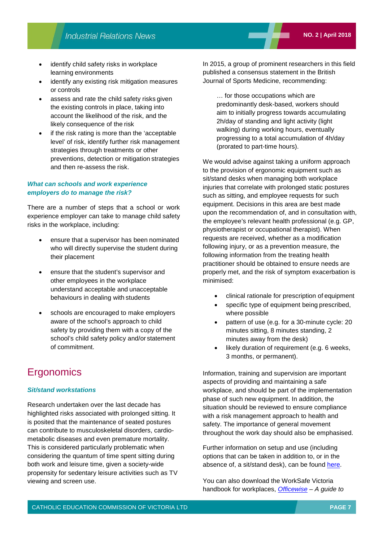- identify child safety risks in workplace learning environments
- identify any existing risk mitigation measures or controls
- assess and rate the child safety risks given the existing controls in place, taking into account the likelihood of the risk, and the likely consequence of the risk
- if the risk rating is more than the 'acceptable level' of risk, identify further risk management strategies through treatments or other preventions, detection or mitigation strategies and then re-assess the risk.

### *What can schools and work experience employers do to manage the risk?*

There are a number of steps that a school or work experience employer can take to manage child safety risks in the workplace, including:

- ensure that a supervisor has been nominated who will directly supervise the student during their placement
- ensure that the student's supervisor and other employees in the workplace understand acceptable and unacceptable behaviours in dealing with students
- schools are encouraged to make employers aware of the school's approach to child safety by providing them with a copy of the school's child safety policy and/or statement of commitment.

### **Ergonomics**

### *Sit/stand workstations*

Research undertaken over the last decade has highlighted risks associated with prolonged sitting. It is posited that the maintenance of seated postures can contribute to musculoskeletal disorders, cardiometabolic diseases and even premature mortality. This is considered particularly problematic when considering the quantum of time spent sitting during both work and leisure time, given a society-wide propensity for sedentary leisure activities such as TV viewing and screen use.

In 2015, a group of prominent researchers in this field published a consensus statement in the British Journal of Sports Medicine, recommending:

… for those occupations which are predominantly desk-based, workers should aim to initially progress towards accumulating 2h/day of standing and light activity (light walking) during working hours, eventually progressing to a total accumulation of 4h/day (prorated to part-time hours).

We would advise against taking a uniform approach to the provision of ergonomic equipment such as sit/stand desks when managing both workplace injuries that correlate with prolonged static postures such as sitting, and employee requests for such equipment. Decisions in this area are best made upon the recommendation of, and in consultation with, the employee's relevant health professional (e.g. GP, physiotherapist or occupational therapist). When requests are received, whether as a modification following injury, or as a prevention measure, the following information from the treating health practitioner should be obtained to ensure needs are properly met, and the risk of symptom exacerbation is minimised:

- clinical rationale for prescription of equipment
- specific type of equipment being prescribed, where possible
- pattern of use (e.g. for a 30-minute cycle: 20 minutes sitting, 8 minutes standing, 2 minutes away from the desk)
- likely duration of requirement (e.g. 6 weeks, 3 months, or permanent).

Information, training and supervision are important aspects of providing and maintaining a safe workplace, and should be part of the implementation phase of such new equipment. In addition, the situation should be reviewed to ensure compliance with a risk management approach to health and safety. The importance of general movement throughout the work day should also be emphasised.

Further information on setup and use (including options that can be taken in addition to, or in the absence of, a sit/stand desk), can be found [here.](https://theconversation.com/health-check-the-low-down-on-standing-desks-37515)

You can also download the WorkSafe Victoria handbook for workplaces, *[Officewise](https://www.worksafe.vic.gov.au/__data/assets/pdf_file/0012/211251/ISBN-Officewise-guide-to-health-and-safety-in-the-office-2006-01.pdf) – A guide to*